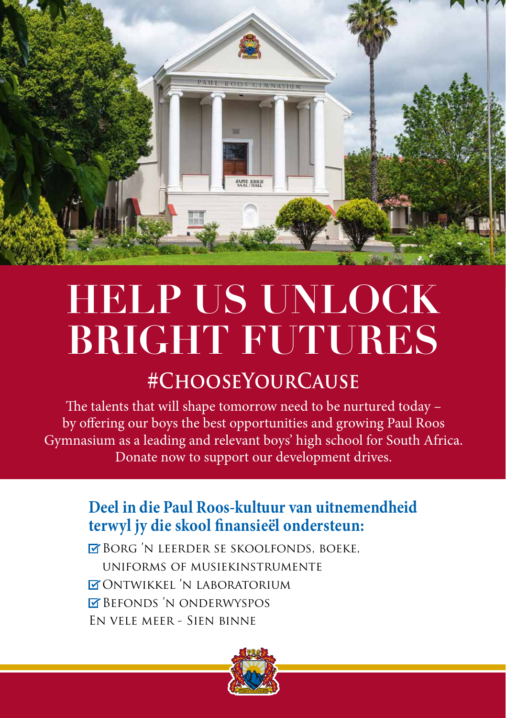

# **HELP US UNLOCK BRIGHT FUTURES**

### **#ChooseYourCause**

The talents that will shape tomorrow need to be nurtured today – by offering our boys the best opportunities and growing Paul Roos Gymnasium as a leading and relevant boys' high school for South Africa. Donate now to support our development drives.

### **Deel in die Paul Roos-kultuur van uitnemendheid terwyl jy die skool finansieël ondersteun:**

**EX BORG 'N LEERDER SE SKOOLFONDS, BOEKE,** uniforms of musiekinstrumente Ontwikkel 'n laboratorium **BEFONDS 'N ONDERWYSPOS** En vele meer - Sien binne

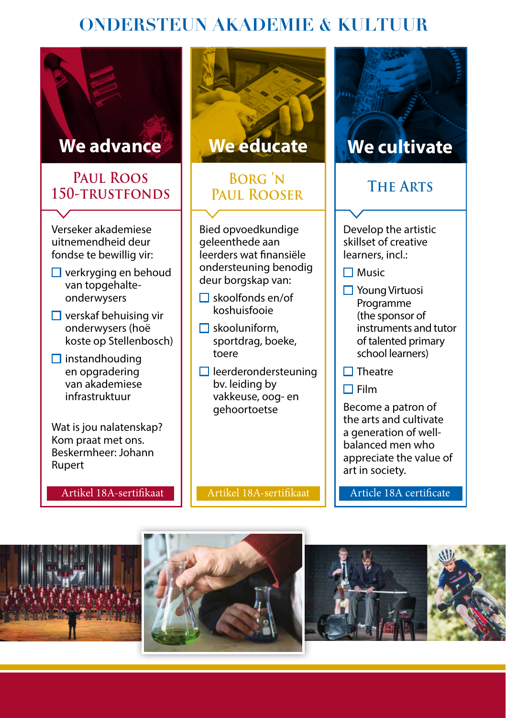### **ONDERSTEUN AKADEMIE & KULTUUR**

#### **Paul Roos 150-trustfonds**

Verseker akademiese uitnemendheid deur fondse te bewillig vir:

- $\Box$  verkryging en behoud van topgehalteonderwysers
- $\Box$  verskaf behuising vir onderwysers (hoë koste op Stellenbosch)
- $\Box$  instandhouding en opgradering van akademiese infrastruktuur

Wat is jou nalatenskap? Kom praat met ons. Beskermheer: Johann Rupert

Artikel 18A-sertifikaat



## PAUL ROOSER

Bied opvoedkundige geleenthede aan leerders wat finansiële ondersteuning benodig deur borgskap van:

- $\Box$  skoolfonds en/of koshuisfooie
- $\Box$  skooluniform. sportdrag, boeke, toere
- $\Box$  leerderondersteuning bv. leiding by vakkeuse, oog- en gehoortoetse

Artikel 18A-sertifikaat



Develop the artistic skillset of creative learners, incl.:

- $\Pi$  Music
- Young Virtuosi Programme (the sponsor of instruments and tutor of talented primary school learners)
- $\Box$  Theatre
- $\Box$  Film

Become a patron of the arts and cultivate a generation of wellbalanced men who appreciate the value of art in society.

Article 18A certificate





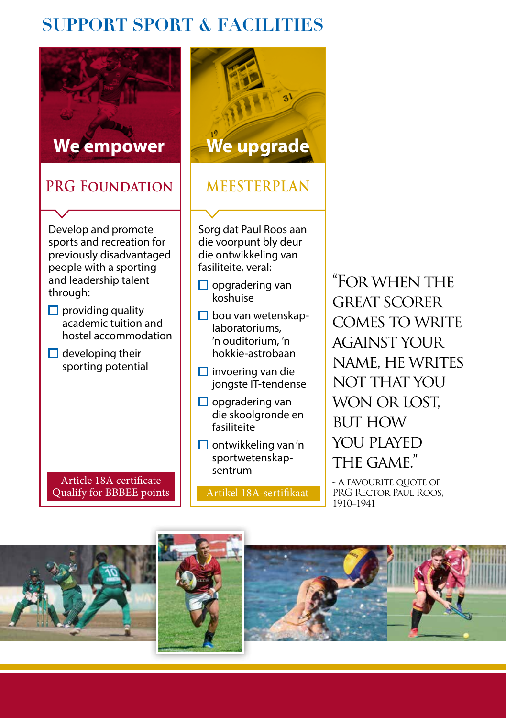### **SUPPORT SPORT & FACILITIES**



Artikel 18A-sertifikaat

- A favourite quote of PRG RECTOR PAUL ROOS. 1910–1941